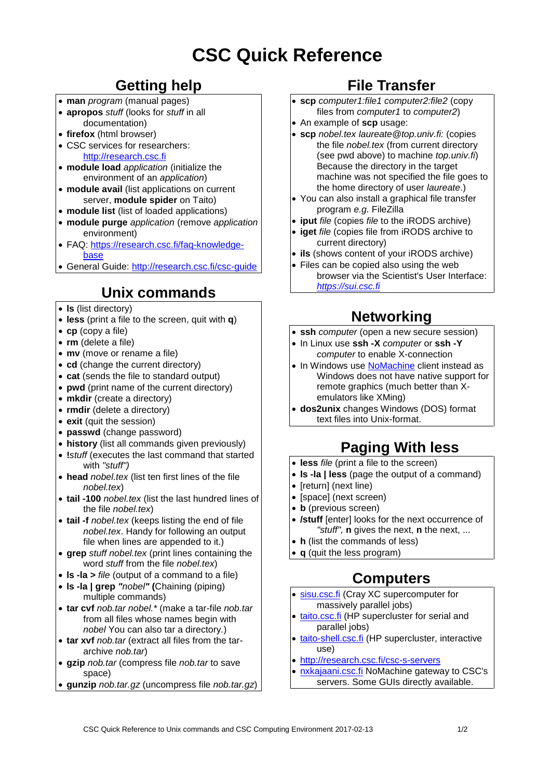# **CSC Quick Reference**

# **Getting help**

- **man** *program* (manual pages)
- **apropos** *stuff* (looks for *stuff* in all documentation)
- **firefox** (html browser)
- CSC services for researchers: [http://research.csc.fi](http://research.csc.fi/)
- **module load** *application* (initialize the environment of an *application*)
- **module avail** (list applications on current server, **module spider** on Taito)
- **module list** (list of loaded applications)
- **module purge** *application* (remove *application* environment)
- FAQ: [https://research.csc.fi/faq-knowledge](https://research.csc.fi/faq-knowledge-base)[base](https://research.csc.fi/faq-knowledge-base)
- General Guide: <http://research.csc.fi/csc-guide>

#### **Unix commands**

- **ls** (list directory)
- **less** (print a file to the screen, quit with **q**)
- **cp** (copy a file)
- **rm** (delete a file)
- **mv** (move or rename a file)
- cd (change the current directory)
- **cat** (sends the file to standard output)
- **pwd** (print name of the current directory)
- **mkdir** (create a directory)
- **rmdir** (delete a directory)
- **exit** (quit the session)
- **passwd** (change password)
- **history** (list all commands given previously)
- **!***stuff* (executes the last command that started with *"stuff")*
- **head** *nobel.tex* (list ten first lines of the file *nobel.tex*)
- **tail -100** *nobel.tex* (list the last hundred lines of the file *nobel.tex*)
- **tail -f** *nobel.tex* (keeps listing the end of file *nobel.tex*. Handy for following an output file when lines are appended to it.)
- **grep** *stuff nobel.tex* (print lines containing the word *stuff* from the file *nobel.tex*)
- **ls -la >** *file* (output of a command to a file)
- **ls -la | grep** *"nobel"* **(**Chaining (piping) multiple commands)
- **tar cvf** *nob.tar nobel.\** (make a tar-file *nob.tar*  from all files whose names begin with *nobel* You can also tar a directory*.*)
- **tar xvf** *nob.tar* (extract all files from the tararchive *nob.tar*)
- **gzip** *nob.tar* (compress file *nob.tar* to save space)
- **gunzip** *nob.tar.gz* (uncompress file *nob.tar.gz*)

## **File Transfer**

- **scp** *computer1:file1 computer2:file2* (copy files from *computer1* to *computer2*)
- An example of **scp** usage:
- **scp** *nobel.tex laureate@top.univ.fi:* (copies the file *nobel.tex* (from current directory (see pwd above) to machine *top.univ.fi*) Because the directory in the target machine was not specified the file goes to the home directory of user *laureate*.)
- You can also install a graphical file transfer program *e.g.* FileZilla
- **iput** *file* (copies *file* to the iRODS archive)
- **iget** *file* (copies file from iRODS archive to current directory)
- **ils** (shows content of your iRODS archive)
- Files can be copied also using the web browser via the Scientist's User Interface: *[https://sui.csc.fi](https://sui.csc.fi/)*

## **Networking**

- **ssh** *computer* (open a new secure session)
- In Linux use **ssh -X** *computer* or **ssh -Y** *computer* to enable X-connection
- In Windows use [NoMachine](https://research.csc.fi/-/nomachine) client instead as Windows does not have native support for remote graphics (much better than Xemulators like XMing)
- **dos2unix** changes Windows (DOS) format text files into Unix-format.

# **Paging With less**

- **less** *file* (print a file to the screen)
- **ls -la | less** (page the output of a command)
- [return] (next line)
- [space] (next screen)
- **b** (previous screen)
- **/stuff** [enter] looks for the next occurrence of *"stuff",* **n** gives the next, **n** the next, ...
- **h** (list the commands of less)
- **q** (quit the less program)

#### **Computers**

- [sisu.csc.fi](http://research.csc.fi/sisu-user-guide) (Cray XC supercomputer for massively parallel jobs)
- [taito.csc.fi](http://research.csc.fi/taito-user-guide) (HP supercluster for serial and parallel jobs)
- **[taito-shell.csc.fi](https://research.csc.fi/taito-shell-user-guide) (HP supercluster, interactive** use)
- <http://research.csc.fi/csc-s-servers>
- [nxkajaani.csc.fi](https://research.csc.fi/-/nomachine) NoMachine gateway to CSC's servers. Some GUIs directly available.